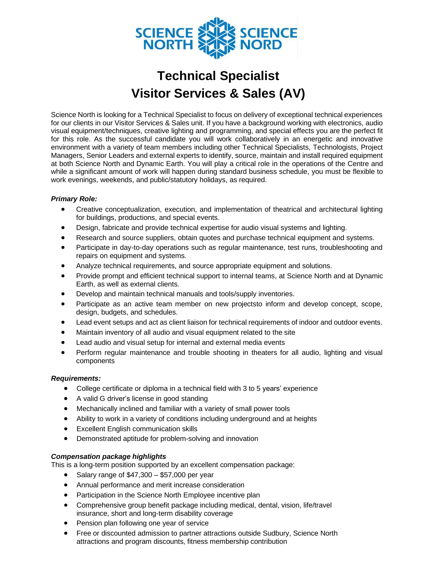

## **Technical Specialist Visitor Services & Sales (AV)**

Science North is looking for a Technical Specialist to focus on delivery of exceptional technical experiences for our clients in our Visitor Services & Sales unit. If you have a background working with electronics, audio visual equipment/techniques, creative lighting and programming, and special effects you are the perfect fit for this role. As the successful candidate you will work collaboratively in an energetic and innovative environment with a variety of team members including other Technical Specialists, Technologists, Project Managers, Senior Leaders and external experts to identify, source, maintain and install required equipment at both Science North and Dynamic Earth. You will play a critical role in the operations of the Centre and while a significant amount of work will happen during standard business schedule, you must be flexible to work evenings, weekends, and public/statutory holidays, as required.

## *Primary Role:*

- Creative conceptualization, execution, and implementation of theatrical and architectural lighting for buildings, productions, and special events.
- Design, fabricate and provide technical expertise for audio visual systems and lighting.
- Research and source suppliers, obtain quotes and purchase technical equipment and systems.
- Participate in day-to-day operations such as regular maintenance, test runs, troubleshooting and repairs on equipment and systems.
- Analyze technical requirements, and source appropriate equipment and solutions.
- Provide prompt and efficient technical support to internal teams, at Science North and at Dynamic Earth, as well as external clients.
- Develop and maintain technical manuals and tools/supply inventories.
- Participate as an active team member on new projectsto inform and develop concept, scope, design, budgets, and schedules.
- Lead event setups and act as client liaison for technical requirements of indoor and outdoor events.
- Maintain inventory of all audio and visual equipment related to the site
- Lead audio and visual setup for internal and external media events
- Perform regular maintenance and trouble shooting in theaters for all audio, lighting and visual components

## *Requirements:*

- College certificate or diploma in a technical field with 3 to 5 years' experience
- A valid G driver's license in good standing
- Mechanically inclined and familiar with a variety of small power tools
- Ability to work in a variety of conditions including underground and at heights
- Excellent English communication skills
- Demonstrated aptitude for problem-solving and innovation

## *Compensation package highlights*

This is a long-term position supported by an excellent compensation package:

- Salary range of \$47,300 \$57,000 per year
- Annual performance and merit increase consideration
- Participation in the Science North Employee incentive plan
- Comprehensive group benefit package including medical, dental, vision, life/travel insurance, short and long-term disability coverage
- Pension plan following one year of service
- Free or discounted admission to partner attractions outside Sudbury, Science North attractions and program discounts, fitness membership contribution